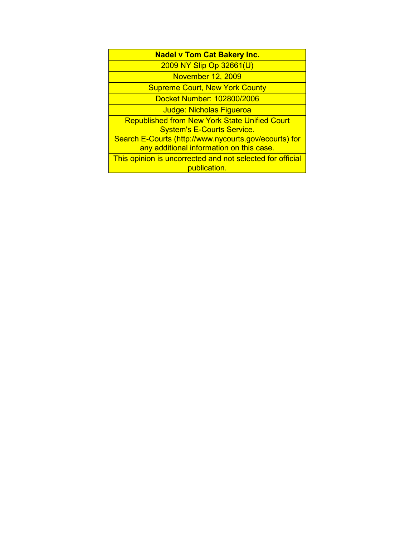| <b>Nadel v Tom Cat Bakery Inc.</b>                                        |
|---------------------------------------------------------------------------|
| 2009 NY Slip Op 32661(U)                                                  |
| <b>November 12, 2009</b>                                                  |
| <b>Supreme Court, New York County</b>                                     |
| Docket Number: 102800/2006                                                |
| Judge: Nicholas Figueroa                                                  |
| <b>Republished from New York State Unified Court</b>                      |
| <b>System's E-Courts Service.</b>                                         |
| Search E-Courts (http://www.nycourts.gov/ecourts) for                     |
| any additional information on this case.                                  |
| This opinion is uncorrected and not selected for official<br>publication. |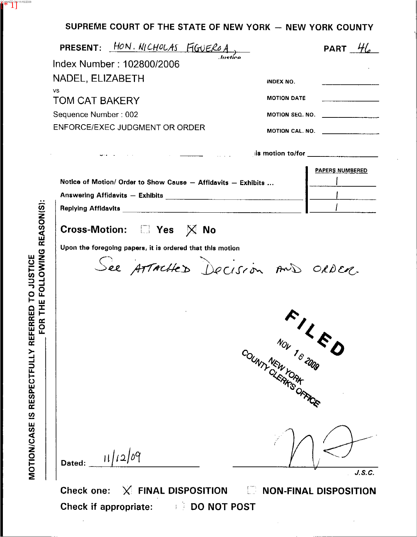## SUPREME COURT OF THE STATE OF NEW YORK - NEW YORK COUNTY

| Index Number: 102800/2006                                                                                                                                                                                                      |                                | PART $\mathcal{H}_{\alpha}$         |
|--------------------------------------------------------------------------------------------------------------------------------------------------------------------------------------------------------------------------------|--------------------------------|-------------------------------------|
|                                                                                                                                                                                                                                |                                |                                     |
| NADEL, ELIZABETH                                                                                                                                                                                                               | <b>INDEX NO.</b>               |                                     |
| vs.<br><b>TOM CAT BAKERY</b>                                                                                                                                                                                                   | <b>MOTION DATE</b>             |                                     |
|                                                                                                                                                                                                                                | <b>MOTION SEQ. NO.</b>         |                                     |
| Sequence Number: 002<br>ENFORCE/EXEC JUDGMENT OR ORDER                                                                                                                                                                         |                                |                                     |
|                                                                                                                                                                                                                                |                                | MOTION CAL. NO. ___________________ |
| and the state of the state of the state of the state of the state of the state of the state of the state of the                                                                                                                |                                |                                     |
|                                                                                                                                                                                                                                |                                | <b>PAPERS NUMBERED</b>              |
| Notice of Motion/ Order to Show Cause - Affidavits - Exhibits                                                                                                                                                                  |                                |                                     |
| Answering Affidavits - Exhibits [1994] [1994] The Manuscript Contract of the Manuscript Contract of the Manuscript Contract of the Manuscript Contract of the Manuscript Contract of the Manuscript Contract of the Manuscript |                                |                                     |
|                                                                                                                                                                                                                                |                                |                                     |
| Cross-Motion: <b>No</b> Yes X No                                                                                                                                                                                               |                                |                                     |
| Upon the foregoing papers, it is ordered that this motion<br>See ATTACHED Decision AND ORDER.                                                                                                                                  |                                |                                     |
|                                                                                                                                                                                                                                | NOV 16 2009<br>COUNTY NEW YORK | $\mathcal{L}$                       |

Check one: X FINAL DISPOSITION E NON-FINAL DISPOSITION Check if appropriate: **BECAUSE 10 NOT POST** 

SCANNED ON 11/16/2009<br>EXTERN<mark>ED</mark>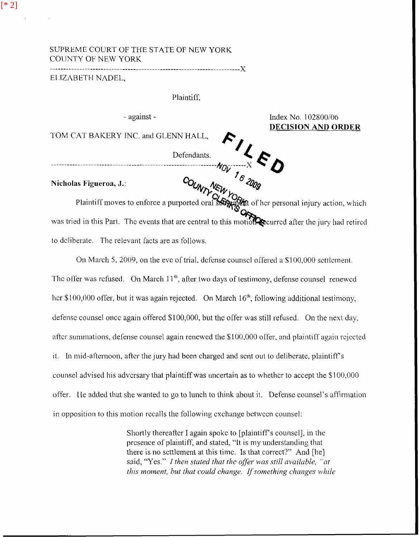## SUPREME COURT OF THE STATE OF NEW YORK **COUNTY OF NEW YORK**

## ELIZABETH NADEL,

Plaintiff,

- against -

Index No. 102800/06 **DECISION AND ORDER** 

TOM CAT BAKERY INC. and GLENN HALL,

Nicholas Figueroa, J.:

EXECUTE BAKERY INC. and GLENN HALL,<br>Defendants.<br> $M_{OV}$   $\frac{1}{6}$   $\frac{2000}{200}$ <br>Plaintiff moves to enforce a purported oral sorrying of her personal injury action, which was tried in this Part. The events that are central to this motion curred after the jury had retired to deliberate. The relevant facts are as follows.

On March 5, 2009, on the eve of trial, defense counsel offered a \$100,000 settlement. The offer was refused. On March 11<sup>th</sup>, after two days of testimony, defense counsel renewed her \$100,000 offer, but it was again rejected. On March 16<sup>th</sup>, following additional testimony, defense counsel once again offered \$100,000, but the offer was still refused. On the next day, after summations, defense counsel again renewed the  $$100,000$  offer, and plaintiff again rejected it. In mid-afternoon, after the jury had been charged and sent out to deliberate, plaintiff's counsel advised his adversary that plaintiff was uncertain as to whether to accept the \$100,000 offer. He added that she wanted to go to lunch to think about it. Defense counsel's affirmation in opposition to this motion recalls the following exchange between counsel:

> Shortly thereafter I again spoke to [plaintiff's counsel], in the presence of plaintiff, and stated, "It is my understanding that there is no settlement at this time. Is that correct?" And [he] said, "Yes." I then stated that the offer was still available, "at this moment, but that could change. If something changes while

 $[$ \* 2]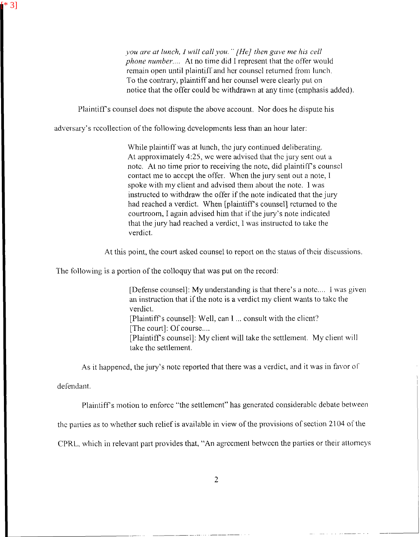*you are at lunch, I will call you." [He] then gave me his cell phone number....* At no time did I represent that the offer would remain open until plaintiff and her counsel returned from lunch. To the contrary, plaintiff and her counsel were clearly put on notice that the offer could be withdrawn at any time (emphasis added).

PlaintifYs counsel does not dispute the above account. Nor does he dispute his

adversary's recollection of the following developments less than an hour-later:

While plaintiff was at lunch, the jury continued deliberating. At approximately  $4:25$ , we were advised that the jury sent out a note. At no time prior to receiving the note, did plaintiff's counsel contact me to accept the offer. When the jury sent out a note, I spoke with my client and advised them ahout the note. 1 was instructed to withdraw the offer if the note indicated that the jury had reached a verdict. When [plaintiff's counsel] rcturned to the courtroom, I again advised him that if the jury's note indicated that the jury had reached a verdict, 1 was instructcd to take the verdict.

At this point, the court asked counsel to report on the status of their discussions.

The following is a portion of the colloquy that was put on the record:

[Defense counsel]: My understanding is that there's a note.... I was given an instruction that if the note is a verdict my client wants to take the verdict. [Plaintiff's counsel]: Well, can I ... consult with the clicnt?  $[The court]: Of course...$ [Plaintiffs counsel]: My client will take thc settlement. My client will take thc settlement.

As it happened, the jury's note reported that there was a verdict, and it was in favor of

defendant.

[\* 3]

Plaintiff's motion to enforce "the settlement" has generated considerable debate between

the parties as to whether such relief is available in view of the provisions of section 2104 of the

CPRL, which in relevant part provides that, "An agreement between the parties or their attorneys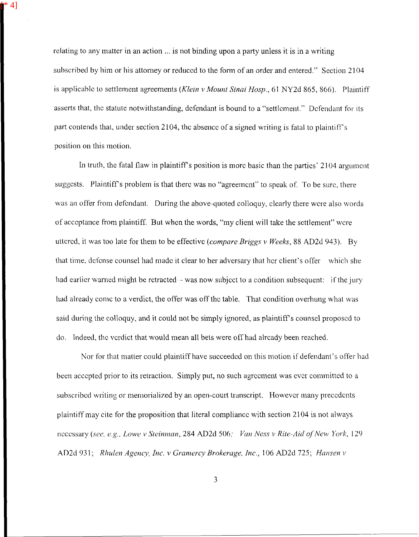relating to any matter in an action ... is not binding upon a party unless it is in a writing subscribed by him or his attorney or reduced to the form of an order and entered." Section 2104 is applicable to settlement agreements *(Klein v Mount Sinai Hosp.*, 61 NY2d 865, 866). Plaintiff asserts that, the statute notwithstanding, defendant is bound to a "settlement." Defendant for its part contends that, under section 2104, the absence of a signed writing is fatal to plaintiff's position on this motion.

[\* 4]

In truth, the fatal flaw in plaintiff's position is more basic than the parties'  $2104$  argument suggests. Plaintiff's problem is that there was no "agreement" to speak of. To be sure, there was an offer from defendant. During the above-quoted colloquy, clearly there were also words of acceptance from plaintiff. But when the words, "my client will take the settlement" wcre uttcrcd, it was too late for Ihem to be effectivc *(compare Briggs* **17** *Weeks,* 88 AD2d 943). By that time, defense counsel had made it clear to her adversary that her client's offer which she had earlier warned might be retracted - was now subject to a condition subsequent: if the jury had already come to a verdict, the offer was off the table. That condition overhung what was said during the colloquy, and it could not be simply ignored, as plaintiff's counsel proposed to do. Indeed, thc vcrdict that would mean all bels were off had alrcady been reached.

Nor for that matter could plaintiff have succeedcd on this motion if defendant's offer had been accepted prior to its retraction. Simply put, no such agreement was ever committed to a subscribed writing or memorialized by an open-court transcript. However many precedents plaintiff may cite for the proposition that literal compliance with section 2104 is not always hcccssary (see, e.g., Lowe *v Steinman*, 284 AD2d 506; Van Ness *v Rite-Aid of New York*, 129 AD2d 931; *Rhulen Agency, Inc. v Gramercy Brokerage, Inc.*, 106 AD2d 725; *Hansen v* 

3